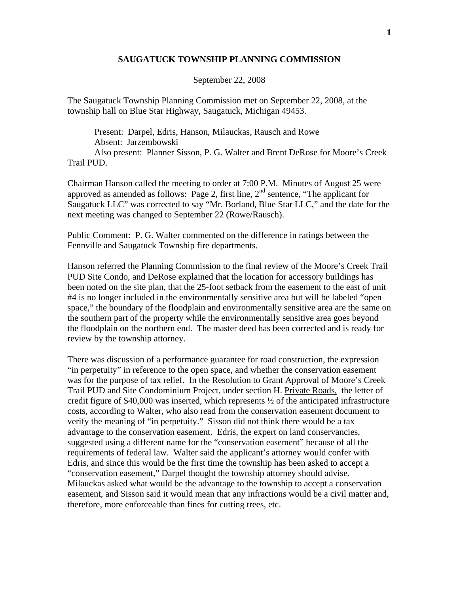## **SAUGATUCK TOWNSHIP PLANNING COMMISSION**

## September 22, 2008

The Saugatuck Township Planning Commission met on September 22, 2008, at the township hall on Blue Star Highway, Saugatuck, Michigan 49453.

 Present: Darpel, Edris, Hanson, Milauckas, Rausch and Rowe Absent: Jarzembowski Also present: Planner Sisson, P. G. Walter and Brent DeRose for Moore's Creek Trail PUD.

Chairman Hanson called the meeting to order at 7:00 P.M. Minutes of August 25 were approved as amended as follows: Page 2, first line,  $2<sup>nd</sup>$  sentence, "The applicant for Saugatuck LLC" was corrected to say "Mr. Borland, Blue Star LLC," and the date for the next meeting was changed to September 22 (Rowe/Rausch).

Public Comment: P. G. Walter commented on the difference in ratings between the Fennville and Saugatuck Township fire departments.

Hanson referred the Planning Commission to the final review of the Moore's Creek Trail PUD Site Condo, and DeRose explained that the location for accessory buildings has been noted on the site plan, that the 25-foot setback from the easement to the east of unit #4 is no longer included in the environmentally sensitive area but will be labeled "open space," the boundary of the floodplain and environmentally sensitive area are the same on the southern part of the property while the environmentally sensitive area goes beyond the floodplain on the northern end. The master deed has been corrected and is ready for review by the township attorney.

There was discussion of a performance guarantee for road construction, the expression "in perpetuity" in reference to the open space, and whether the conservation easement was for the purpose of tax relief. In the Resolution to Grant Approval of Moore's Creek Trail PUD and Site Condominium Project, under section H. Private Roads, the letter of credit figure of \$40,000 was inserted, which represents ½ of the anticipated infrastructure costs, according to Walter, who also read from the conservation easement document to verify the meaning of "in perpetuity." Sisson did not think there would be a tax advantage to the conservation easement. Edris, the expert on land conservancies, suggested using a different name for the "conservation easement" because of all the requirements of federal law. Walter said the applicant's attorney would confer with Edris, and since this would be the first time the township has been asked to accept a "conservation easement," Darpel thought the township attorney should advise. Milauckas asked what would be the advantage to the township to accept a conservation easement, and Sisson said it would mean that any infractions would be a civil matter and, therefore, more enforceable than fines for cutting trees, etc.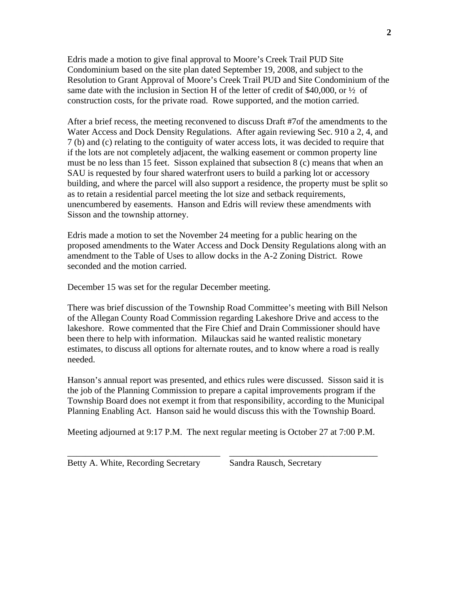Edris made a motion to give final approval to Moore's Creek Trail PUD Site Condominium based on the site plan dated September 19, 2008, and subject to the Resolution to Grant Approval of Moore's Creek Trail PUD and Site Condominium of the same date with the inclusion in Section H of the letter of credit of \$40,000, or ½ of construction costs, for the private road. Rowe supported, and the motion carried.

After a brief recess, the meeting reconvened to discuss Draft #7of the amendments to the Water Access and Dock Density Regulations. After again reviewing Sec. 910 a 2, 4, and 7 (b) and (c) relating to the contiguity of water access lots, it was decided to require that if the lots are not completely adjacent, the walking easement or common property line must be no less than 15 feet. Sisson explained that subsection 8 (c) means that when an SAU is requested by four shared waterfront users to build a parking lot or accessory building, and where the parcel will also support a residence, the property must be split so as to retain a residential parcel meeting the lot size and setback requirements, unencumbered by easements. Hanson and Edris will review these amendments with Sisson and the township attorney.

Edris made a motion to set the November 24 meeting for a public hearing on the proposed amendments to the Water Access and Dock Density Regulations along with an amendment to the Table of Uses to allow docks in the A-2 Zoning District. Rowe seconded and the motion carried.

December 15 was set for the regular December meeting.

There was brief discussion of the Township Road Committee's meeting with Bill Nelson of the Allegan County Road Commission regarding Lakeshore Drive and access to the lakeshore. Rowe commented that the Fire Chief and Drain Commissioner should have been there to help with information. Milauckas said he wanted realistic monetary estimates, to discuss all options for alternate routes, and to know where a road is really needed.

Hanson's annual report was presented, and ethics rules were discussed. Sisson said it is the job of the Planning Commission to prepare a capital improvements program if the Township Board does not exempt it from that responsibility, according to the Municipal Planning Enabling Act. Hanson said he would discuss this with the Township Board.

Meeting adjourned at 9:17 P.M. The next regular meeting is October 27 at 7:00 P.M.

\_\_\_\_\_\_\_\_\_\_\_\_\_\_\_\_\_\_\_\_\_\_\_\_\_\_\_\_\_\_\_\_\_\_ \_\_\_\_\_\_\_\_\_\_\_\_\_\_\_\_\_\_\_\_\_\_\_\_\_\_\_\_\_\_\_\_\_

Betty A. White, Recording Secretary Sandra Rausch, Secretary